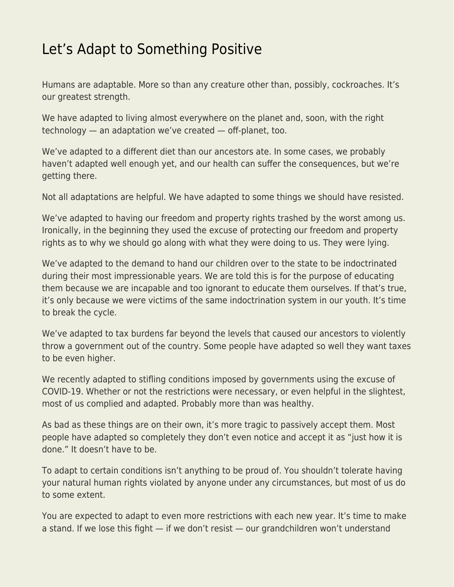## [Let's Adapt to Something Positive](https://everything-voluntary.com/lets-adapt-to-something-positive)

Humans are adaptable. More so than any creature other than, possibly, cockroaches. It's our greatest strength.

We have adapted to living almost everywhere on the planet and, soon, with the right technology — an adaptation we've created — off-planet, too.

We've adapted to a different diet than our ancestors ate. In some cases, we probably haven't adapted well enough yet, and our health can suffer the consequences, but we're getting there.

Not all adaptations are helpful. We have adapted to some things we should have resisted.

We've adapted to having our freedom and property rights trashed by the worst among us. Ironically, in the beginning they used the excuse of protecting our freedom and property rights as to why we should go along with what they were doing to us. They were lying.

We've adapted to the demand to hand our children over to the state to be indoctrinated during their most impressionable years. We are told this is for the purpose of educating them because we are incapable and too ignorant to educate them ourselves. If that's true, it's only because we were victims of the same indoctrination system in our youth. It's time to break the cycle.

We've adapted to tax burdens far beyond the levels that caused our ancestors to violently throw a government out of the country. Some people have adapted so well they want taxes to be even higher.

We recently adapted to stifling conditions imposed by governments using the excuse of COVID-19. Whether or not the restrictions were necessary, or even helpful in the slightest, most of us complied and adapted. Probably more than was healthy.

As bad as these things are on their own, it's more tragic to passively accept them. Most people have adapted so completely they don't even notice and accept it as "just how it is done." It doesn't have to be.

To adapt to certain conditions isn't anything to be proud of. You shouldn't tolerate having your natural human rights violated by anyone under any circumstances, but most of us do to some extent.

You are expected to adapt to even more restrictions with each new year. It's time to make a stand. If we lose this fight — if we don't resist — our grandchildren won't understand